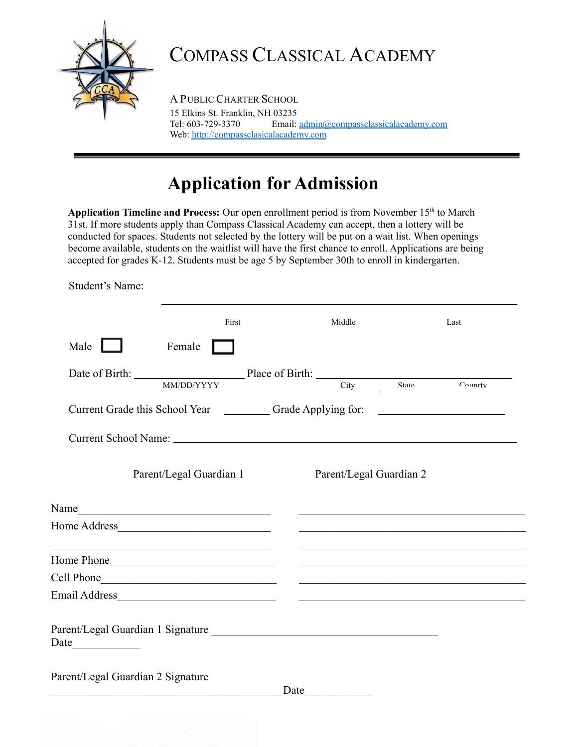

## COMPASS CLASSICAL ACADEMY

A PUBLIC CHARTER SCHOOL 15 Elkins St. Franklin, NH 03235 Tel: 603-729-3370 Email: [admin@compassclassicalacademy.com](mailto:info@compassclassicalacademy.com) Web: [http://compassclasicalacademy.com](http://compassclasicalacademy.com/)

## **Application for Admission**

Application Timeline and Process: Our open enrollment period is from November 15<sup>th</sup> to March 31st. If more students apply than Compass Classical Academy can accept, then a lottery will be conducted for spaces. Students not selected by the lottery will be put on a wait list. When openings become available, students on the waitlist will have the first chance to enroll. Applications are being accepted for grades K-12. Students must be age 5 by September 30th to enroll in kindergarten.

Student's Name:

|                                                                                                                                                                                                                                      |                         | First | Middle                  | Last                                                                                                                                                                                                                                 |
|--------------------------------------------------------------------------------------------------------------------------------------------------------------------------------------------------------------------------------------|-------------------------|-------|-------------------------|--------------------------------------------------------------------------------------------------------------------------------------------------------------------------------------------------------------------------------------|
| Male $\Box$                                                                                                                                                                                                                          | Female                  |       |                         |                                                                                                                                                                                                                                      |
| Date of Birth: Place of Birth: City State Country                                                                                                                                                                                    |                         |       |                         |                                                                                                                                                                                                                                      |
| Current Grade this School Year ____________Grade Applying for: __________________                                                                                                                                                    |                         |       |                         |                                                                                                                                                                                                                                      |
|                                                                                                                                                                                                                                      |                         |       |                         |                                                                                                                                                                                                                                      |
|                                                                                                                                                                                                                                      | Parent/Legal Guardian 1 |       | Parent/Legal Guardian 2 |                                                                                                                                                                                                                                      |
| Name                                                                                                                                                                                                                                 |                         |       |                         | <u> 1989 - Johann John Stone, markin amerikan basar dan berkembang di banyak di banyak di banyak di banyak di ban</u>                                                                                                                |
|                                                                                                                                                                                                                                      |                         |       |                         | <u> 1989 - Jan James James Jan James James James James James James James James James James James James James Jam</u>                                                                                                                 |
| <u> 1989 - Johann John Stein, mars an deus Amerikaansk kommunister (</u>                                                                                                                                                             |                         |       |                         |                                                                                                                                                                                                                                      |
| Cell Phone <u>and the contract of the contract of the contract of the contract of the contract of the contract of the contract of the contract of the contract of the contract of the contract of the contract of the contract o</u> |                         |       |                         |                                                                                                                                                                                                                                      |
|                                                                                                                                                                                                                                      |                         |       |                         | <u> 1989 - Johann Harry Harry Harry Harry Harry Harry Harry Harry Harry Harry Harry Harry Harry Harry Harry Harry Harry Harry Harry Harry Harry Harry Harry Harry Harry Harry Harry Harry Harry Harry Harry Harry Harry Harry Ha</u> |
|                                                                                                                                                                                                                                      |                         |       |                         |                                                                                                                                                                                                                                      |
| Parent/Legal Guardian 2 Signature                                                                                                                                                                                                    |                         |       |                         |                                                                                                                                                                                                                                      |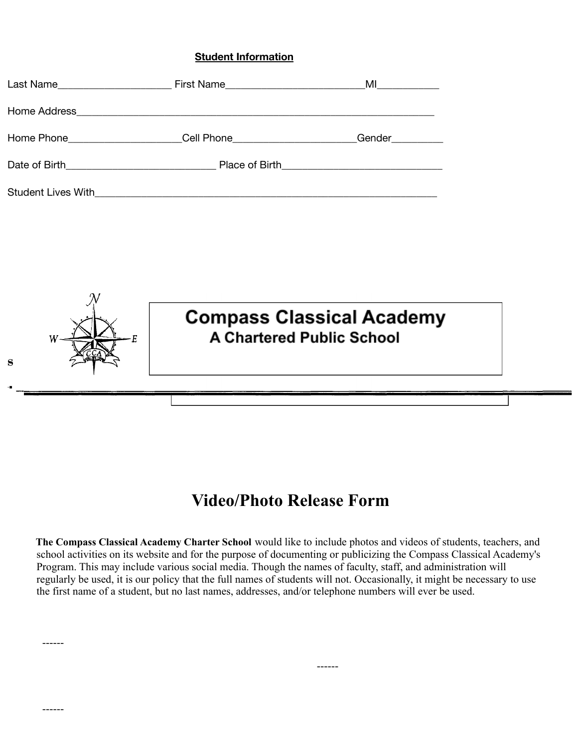#### **Student Information**

| Last Name |                                               | $M$ $\overline{\phantom{a}}$ |
|-----------|-----------------------------------------------|------------------------------|
|           |                                               |                              |
|           | Home Phone Cell Phone Capacity and Cell Phone | Gender                       |
|           |                                               |                              |
|           |                                               |                              |



## **Video/Photo Release Form**

**The Compass Classical Academy Charter School** would like to include photos and videos of students, teachers, and school activities on its website and for the purpose of documenting or publicizing the Compass Classical Academy's Program. This may include various social media. Though the names of faculty, staff, and administration will regularly be used, it is our policy that the full names of students will not. Occasionally, it might be necessary to use the first name of a student, but no last names, addresses, and/or telephone numbers will ever be used.

------

------

------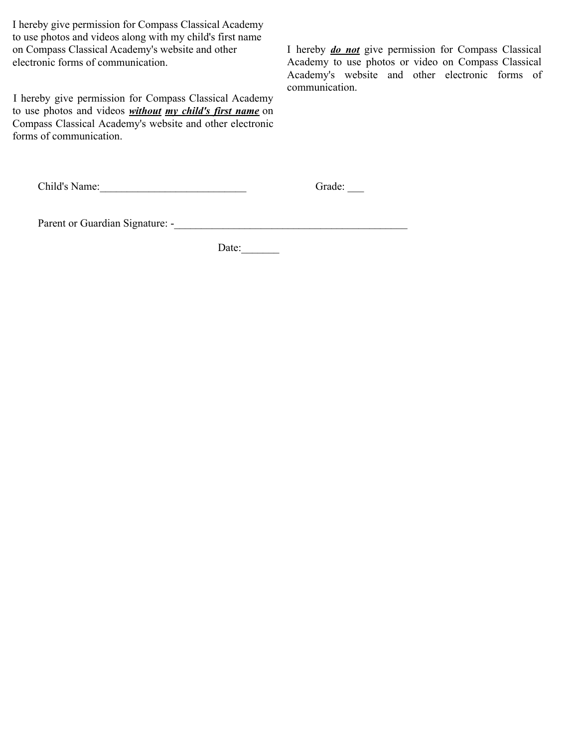I hereby give permission for Compass Classical Academy to use photos and videos along with my child's first name on Compass Classical Academy's website and other electronic forms of communication.

I hereby give permission for Compass Classical Academy to use photos and videos *without my child's first name* on Compass Classical Academy's website and other electronic forms of communication.

I hereby *do not* give permission for Compass Classical Academy to use photos or video on Compass Classical Academy's website and other electronic forms of communication.

| Child's Name: |  |
|---------------|--|
|---------------|--|

 $Grade:$ 

Parent or Guardian Signature: -\_\_\_\_\_\_\_\_\_\_\_\_\_\_\_\_\_\_\_\_\_\_\_\_\_\_\_\_\_\_\_\_\_\_\_\_\_\_\_\_\_\_\_

Date: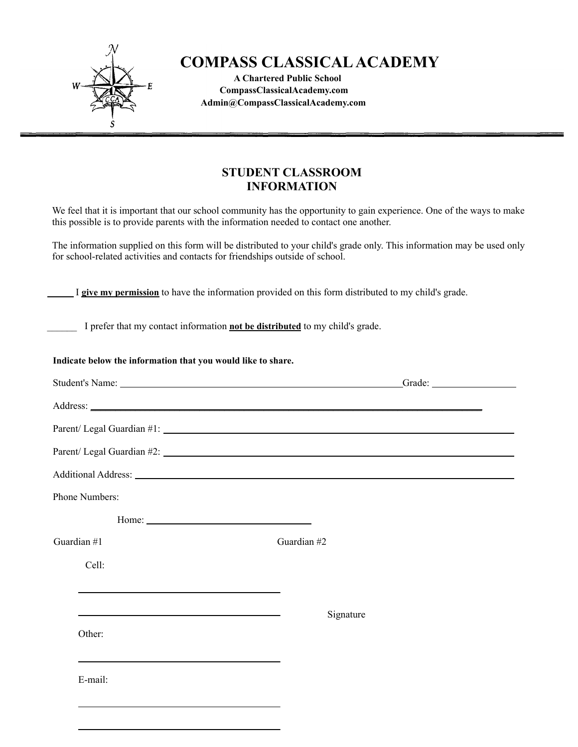

### **COMPASS CLASSICALACADEMY**

**A Chartered Public School CompassClassicalAcademy.com Admin@CompassClassicalAcademy.com**

### **STUDENT CLASSROOM INFORMATION**

We feel that it is important that our school community has the opportunity to gain experience. One of the ways to make this possible is to provide parents with the information needed to contact one another.

The information supplied on this form will be distributed to your child's grade only. This information may be used only for school-related activities and contacts for friendships outside of school.

I **give my permission** to have the information provided on this form distributed to my child's grade.

\_\_\_\_\_\_ I prefer that my contact information **not be distributed** to my child's grade.

#### **Indicate below the information that you would like to share.**

| Student's Name: Name: Name: Name: Name: Name: Name: Name: Name: Name: Name: Name: Name: Name: Name: Name: Name: Name: Name: Name: Name: Name: Name: Name: Name: Name: Name: Name: Name: Name: Name: Name: Name: Name: Name: Na | Grade:                     |
|--------------------------------------------------------------------------------------------------------------------------------------------------------------------------------------------------------------------------------|----------------------------|
|                                                                                                                                                                                                                                |                            |
| Parent/ Legal Guardian #1:                                                                                                                                                                                                     |                            |
|                                                                                                                                                                                                                                | Parent/ Legal Guardian #2: |
| Additional Address: 1988 and 2008 and 2008 and 2008 and 2008 and 2008 and 2008 and 2008 and 2008 and 2008 and 2008 and 2008 and 2008 and 2008 and 2008 and 2008 and 2008 and 2008 and 2008 and 2008 and 2008 and 2008 and 2008 |                            |
| Phone Numbers:                                                                                                                                                                                                                 |                            |
| Home: $\overline{\phantom{a}}$                                                                                                                                                                                                 |                            |
| Guardian $#1$                                                                                                                                                                                                                  | Guardian #2                |
| Cell:                                                                                                                                                                                                                          |                            |
|                                                                                                                                                                                                                                |                            |
| <u> 1989 - Johann Barbara, martxa alemaniar amerikan basar dan basar dan basar dan basar dalam basar dan basar da</u>                                                                                                          | Signature                  |
| Other:                                                                                                                                                                                                                         |                            |
|                                                                                                                                                                                                                                |                            |
| E-mail:                                                                                                                                                                                                                        |                            |
|                                                                                                                                                                                                                                |                            |
|                                                                                                                                                                                                                                |                            |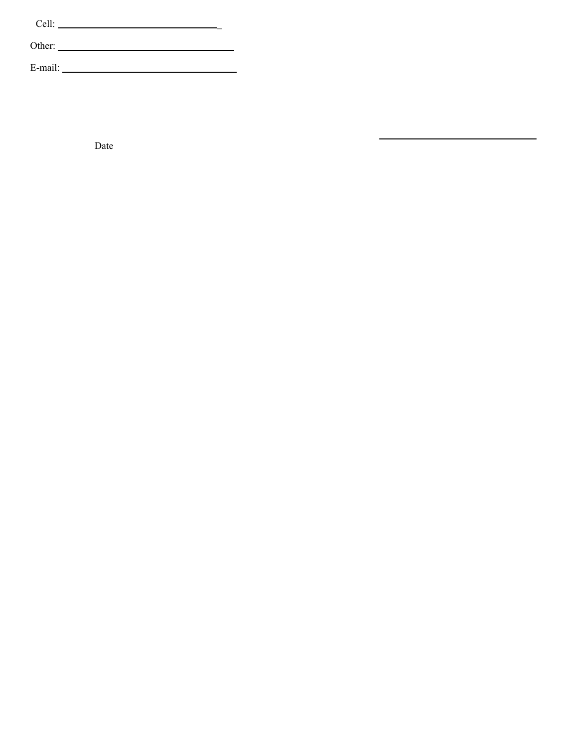| Cell:   |        |  |
|---------|--------|--|
|         | Other: |  |
| E-mail: |        |  |

Date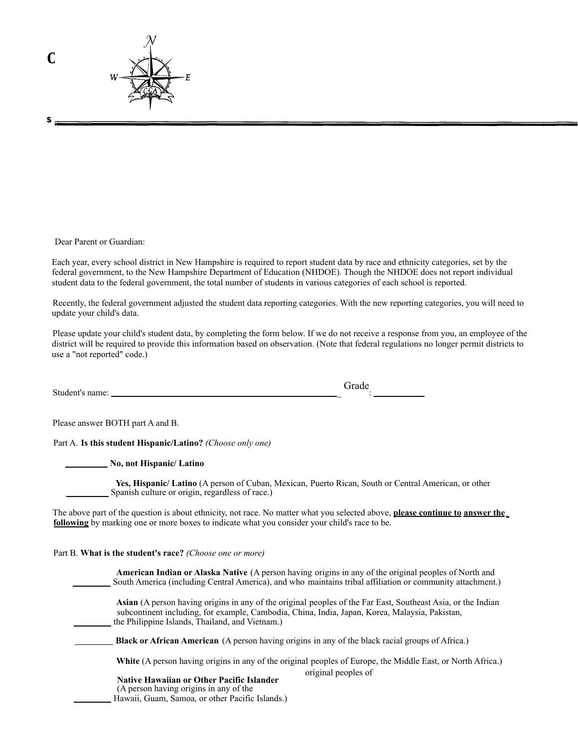

Dear Parent or Guardian:

**s**

Each year, every school district in New Hampshire is required to report student data by race and ethnicity categories, set by the federal government, to the New Hampshire Department of Education (NHDOE). Though the NHDOE does not report individual student data to the federal government, the total number of students in various categories of each school is reported.

Recently, the federal government adjusted the student data reporting categories. With the new reporting categories, you will need to update your child's data.

Please update your child's student data, by completing the form below. If we do not receive a response from you, an employee of the district will be required to provide this information based on observation. (Note that federal regulations no longer permit districts to use a "not reported" code.)

Student's name: \_ Grade :

Please answer BOTH part A and B.

Part A. **Is this student Hispanic/Latino?** *(Choose only one)*

**No, not Hispanic/ Latino**

**Yes, Hispanic/ Latino** (A person of Cuban, Mexican, Puerto Rican, South or Central American, or other Spanish culture or origin, regardless of race.)

The above part of the question is about ethnicity, not race. No matter what you selected above, **please continue to answer the following** by marking one or more boxes to indicate what you consider your child's race to be.

Part B. **What is the student's race?** *(Choose one or more)*

| <b>American Indian or Alaska Native</b> (A person having origins in any of the original peoples of North and<br>South America (including Central America), and who maintains tribal affiliation or community attachment.)                                         |
|-------------------------------------------------------------------------------------------------------------------------------------------------------------------------------------------------------------------------------------------------------------------|
| Asian (A person having origins in any of the original peoples of the Far East, Southeast Asia, or the Indian<br>subcontinent including, for example, Cambodia, China, India, Japan, Korea, Malaysia, Pakistan,<br>the Philippine Islands, Thailand, and Vietnam.) |
| <b>Black or African American</b> (A person having origins in any of the black racial groups of Africa.)                                                                                                                                                           |
| White (A person having origins in any of the original peoples of Europe, the Middle East, or North Africa.)<br>original peoples of                                                                                                                                |
| <b>Native Hawaiian or Other Pacific Islander</b><br>(A person having origins in any of the                                                                                                                                                                        |

Hawaii, Guam, Samoa, or other Pacific Islands.)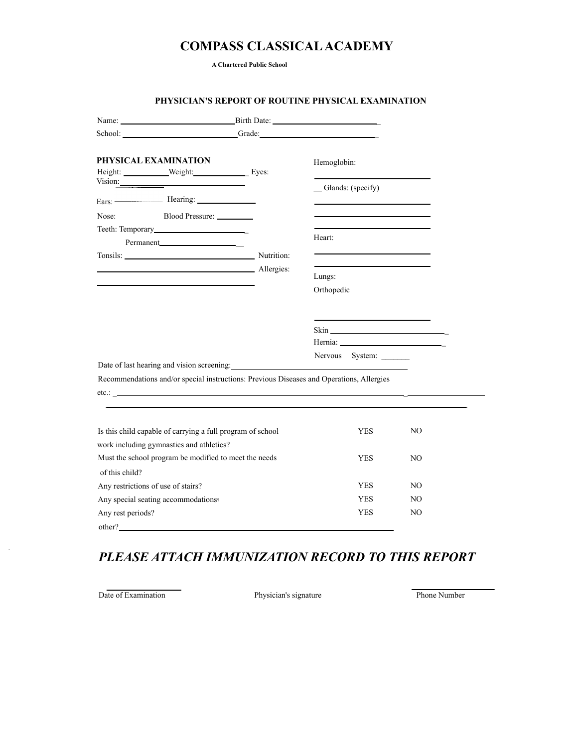### **COMPASS CLASSICALACADEMY**

**A Chartered Public School**

|                   | School: <u>Contract Contract Contract Contract Contract Contract Contract Contract Contract Contract Contract Contract Contract Contract Contract Contract Contract Contract Contract Contract Contract Contract Contract Contra</u> |  |                        |     |
|-------------------|--------------------------------------------------------------------------------------------------------------------------------------------------------------------------------------------------------------------------------------|--|------------------------|-----|
|                   | PHYSICAL EXAMINATION                                                                                                                                                                                                                 |  | Hemoglobin:            |     |
|                   | Vision:<br>Ears: $\frac{\text{Hearing:}}{\text{Hearing:}}$                                                                                                                                                                           |  | Glands: (specify)      |     |
| Nose:             | Blood Pressure: ________                                                                                                                                                                                                             |  |                        |     |
|                   |                                                                                                                                                                                                                                      |  |                        |     |
|                   | Permanent_____________________                                                                                                                                                                                                       |  | Heart:                 |     |
|                   | Tonsils: Nutrition:                                                                                                                                                                                                                  |  |                        |     |
|                   | Allergies:                                                                                                                                                                                                                           |  |                        |     |
|                   |                                                                                                                                                                                                                                      |  | Lungs:                 |     |
|                   |                                                                                                                                                                                                                                      |  | Orthopedic             |     |
|                   |                                                                                                                                                                                                                                      |  |                        |     |
|                   |                                                                                                                                                                                                                                      |  |                        |     |
|                   |                                                                                                                                                                                                                                      |  | $\sin \frac{\pi x}{2}$ |     |
|                   |                                                                                                                                                                                                                                      |  |                        |     |
|                   | Date of last hearing and vision screening:                                                                                                                                                                                           |  | Nervous System:        |     |
|                   | Recommendations and/or special instructions: Previous Diseases and Operations, Allergies                                                                                                                                             |  |                        |     |
|                   |                                                                                                                                                                                                                                      |  |                        |     |
|                   |                                                                                                                                                                                                                                      |  |                        |     |
|                   |                                                                                                                                                                                                                                      |  |                        |     |
|                   | Is this child capable of carrying a full program of school                                                                                                                                                                           |  | <b>YES</b>             | NO  |
|                   | work including gymnastics and athletics?                                                                                                                                                                                             |  |                        |     |
|                   | Must the school program be modified to meet the needs                                                                                                                                                                                |  | <b>YES</b>             | NO. |
| of this child?    |                                                                                                                                                                                                                                      |  |                        |     |
|                   | Any restrictions of use of stairs?                                                                                                                                                                                                   |  | <b>YES</b>             | NO. |
|                   | Any special seating accommodations?                                                                                                                                                                                                  |  | <b>YES</b>             | NO. |
| Any rest periods? |                                                                                                                                                                                                                                      |  | <b>YES</b>             | NO  |
| other?            |                                                                                                                                                                                                                                      |  |                        |     |

#### **PHYSICIAN'S REPORT OF ROUTINE PHYSICAL EXAMINATION**

### *PLEASE ATTACH IMMUNIZATION RECORD TO THIS REPORT*

Date of Examination Physician's signature Phone Number

à.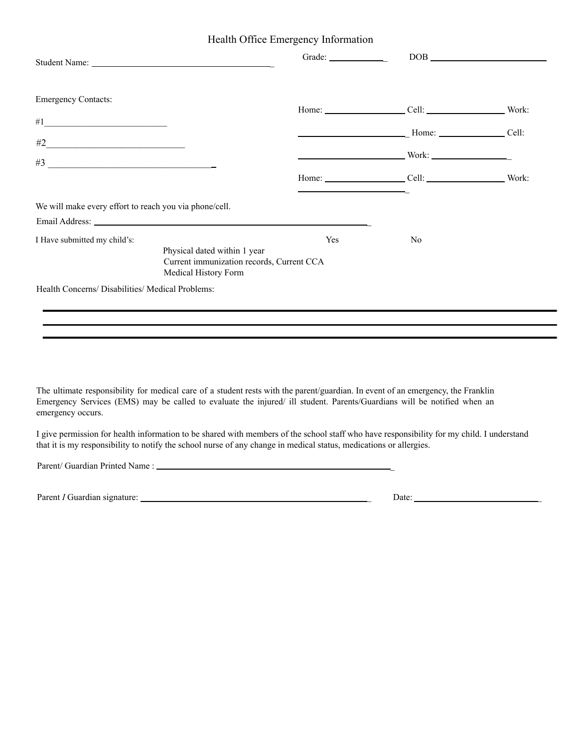Health Office Emergency Information

|                                                        |                                                                                                   |            | Grade: DOB DOB                          |  |
|--------------------------------------------------------|---------------------------------------------------------------------------------------------------|------------|-----------------------------------------|--|
| <b>Emergency Contacts:</b>                             |                                                                                                   |            | Home: Cell: Cell: Work:                 |  |
|                                                        |                                                                                                   |            |                                         |  |
|                                                        |                                                                                                   |            | $\frac{1}{2}$ Home: $\frac{1}{2}$ Cell: |  |
|                                                        |                                                                                                   |            |                                         |  |
|                                                        |                                                                                                   |            | Home: Cell: Cell: Work:                 |  |
| We will make every effort to reach you via phone/cell. |                                                                                                   |            |                                         |  |
|                                                        |                                                                                                   |            |                                         |  |
| I Have submitted my child's:                           | Physical dated within 1 year<br>Current immunization records, Current CCA<br>Medical History Form | <b>Yes</b> | N <sub>0</sub>                          |  |
| Health Concerns/ Disabilities/ Medical Problems:       |                                                                                                   |            |                                         |  |
|                                                        |                                                                                                   |            |                                         |  |
|                                                        |                                                                                                   |            |                                         |  |

The ultimate responsibility for medical care of a student rests with the parent/guardian. In event of an emergency, the Franklin Emergency Services (EMS) may be called to evaluate the injured/ ill student. Parents/Guardians will be notified when an emergency occurs.

I give permission for health information to be shared with members of the school staff who have responsibility for my child. I understand that it is my responsibility to notify the school nurse of any change in medical status, medications or allergies.

Parent/ Guardian Printed Name : \_

Parent *I* Guardian signature: \_ Date: \_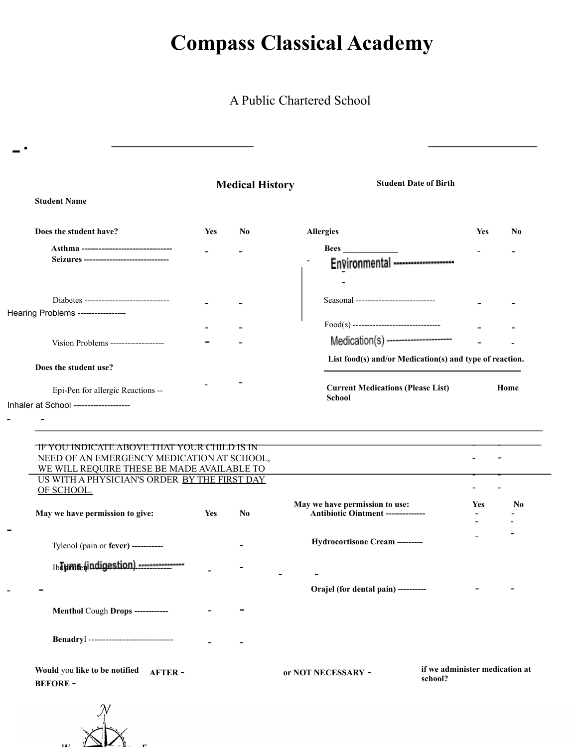A Public Chartered School

|                                                                                                                                                |     | <b>Medical History</b> | <b>Student Date of Birth</b>                                         |            |                |
|------------------------------------------------------------------------------------------------------------------------------------------------|-----|------------------------|----------------------------------------------------------------------|------------|----------------|
| <b>Student Name</b>                                                                                                                            |     |                        |                                                                      |            |                |
| Does the student have?                                                                                                                         | Yes | N <sub>0</sub>         | <b>Allergies</b>                                                     | <b>Yes</b> | No             |
| Asthma --------------------------------                                                                                                        |     |                        | <b>Bees</b>                                                          |            |                |
| Seizures ------------------------------                                                                                                        |     |                        | Environmental --------------------                                   |            |                |
|                                                                                                                                                |     |                        |                                                                      |            |                |
| Diabetes ------------------------------                                                                                                        |     |                        | Seasonal ----------------------------                                |            |                |
| Hearing Problems ----------------                                                                                                              |     |                        |                                                                      |            |                |
|                                                                                                                                                |     |                        |                                                                      |            |                |
| Vision Problems -------------------                                                                                                            |     |                        | Medication(s) ----------------------                                 |            |                |
| Does the student use?                                                                                                                          |     |                        | List food(s) and/or Medication(s) and type of reaction.              |            |                |
|                                                                                                                                                |     |                        |                                                                      |            |                |
| Epi-Pen for allergic Reactions --                                                                                                              |     |                        | <b>Current Medications (Please List)</b>                             |            | Home           |
|                                                                                                                                                |     |                        | <b>School</b>                                                        |            |                |
|                                                                                                                                                |     |                        |                                                                      |            |                |
| <u>TF YOU INDICATE ABOVE THAT YOUR CHILD IS IN</u><br>NEED OF AN EMERGENCY MEDICATION AT SCHOOL,<br>WE WILL REQUIRE THESE BE MADE AVAILABLE TO |     |                        |                                                                      |            |                |
| US WITH A PHYSICIAN'S ORDER BY THE FIRST DAY                                                                                                   |     |                        |                                                                      |            |                |
| Inhaler at School -------------------<br>OF SCHOOL.                                                                                            |     |                        |                                                                      | <b>Yes</b> | N <sub>0</sub> |
| May we have permission to give:                                                                                                                | Yes | No                     | May we have permission to use:<br>Antibiotic Ointment -------------- |            |                |
|                                                                                                                                                |     |                        |                                                                      |            |                |
| Tylenol (pain or fever) -----------                                                                                                            |     |                        | Hydrocortisone Cream --------                                        |            |                |
|                                                                                                                                                |     |                        |                                                                      |            |                |
| IbTurnfe (indigestion) ----------------                                                                                                        |     |                        |                                                                      |            |                |
|                                                                                                                                                |     |                        | Orajel (for dental pain) ---------                                   |            |                |
| Menthol Cough Drops -----------                                                                                                                |     |                        |                                                                      |            |                |
| BenadryI ------------------------------                                                                                                        |     |                        |                                                                      |            |                |

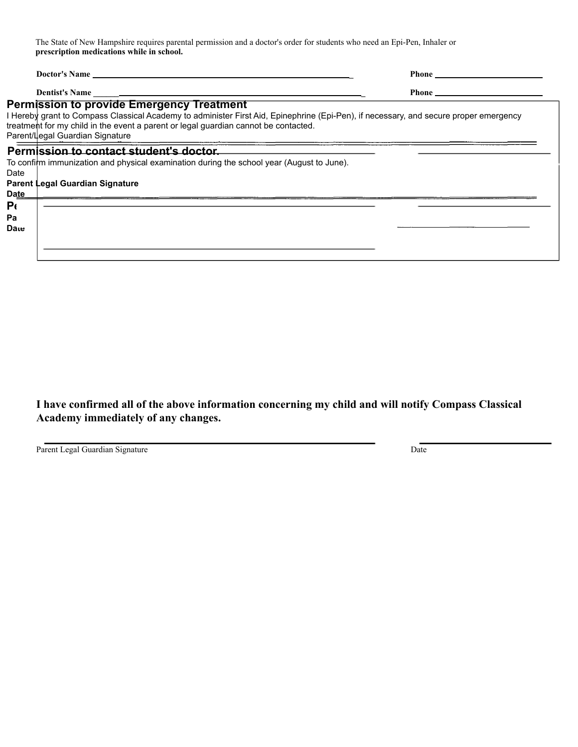The State of New Hampshire requires parental permission and a doctor's order for students who need an Epi-Pen, Inhaler or **prescription medications while in school.**

| <b>Doctor's Name</b>                                                                                                                                                                                                                                                                                                |  |
|---------------------------------------------------------------------------------------------------------------------------------------------------------------------------------------------------------------------------------------------------------------------------------------------------------------------|--|
| Dentist's Name                                                                                                                                                                                                                                                                                                      |  |
| <b>Permission to provide Emergency Treatment</b><br>I Hereby grant to Compass Classical Academy to administer First Aid, Epinephrine (Epi-Pen), if necessary, and secure proper emergency<br>treatment for my child in the event a parent or legal guardian cannot be contacted.<br>Parent/Legal Guardian Signature |  |
| Permission to contact student's doctor.<br>To confirm immunization and physical examination during the school year (August to June).<br>Date<br><b>Parent Legal Guardian Signature</b><br>Date<br>P(<br>Pa<br>Date                                                                                                  |  |

**I have confirmed all of the above information concerning my child and will notify Compass Classical Academy immediately of any changes.**

Parent Legal Guardian Signature Date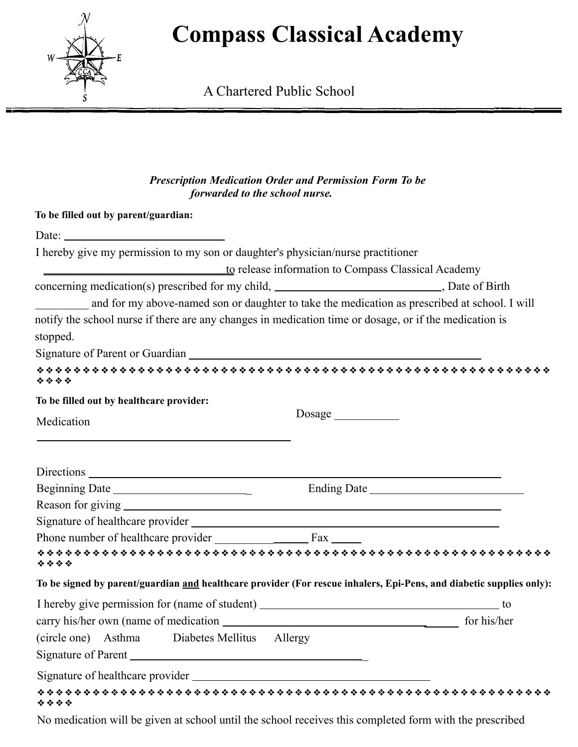

A Chartered Public School

### *Prescription Medication Order and Permission Form To be forwarded to the school nurse.*

| Date: $\frac{1}{\sqrt{1-\frac{1}{2}} \cdot \frac{1}{2}}$                                                           |                                                                                                                      |
|--------------------------------------------------------------------------------------------------------------------|----------------------------------------------------------------------------------------------------------------------|
| I hereby give my permission to my son or daughter's physician/nurse practitioner                                   |                                                                                                                      |
| to release information to Compass Classical Academy                                                                |                                                                                                                      |
| concerning medication(s) prescribed for my child, _____________________________, Date of Birth                     |                                                                                                                      |
| $\frac{1}{\sqrt{2}}$                                                                                               | and for my above-named son or daughter to take the medication as prescribed at school. I will                        |
| notify the school nurse if there are any changes in medication time or dosage, or if the medication is<br>stopped. |                                                                                                                      |
|                                                                                                                    |                                                                                                                      |
| ****                                                                                                               |                                                                                                                      |
| To be filled out by healthcare provider:                                                                           |                                                                                                                      |
| Medication                                                                                                         | Dosage                                                                                                               |
|                                                                                                                    |                                                                                                                      |
|                                                                                                                    |                                                                                                                      |
|                                                                                                                    |                                                                                                                      |
|                                                                                                                    |                                                                                                                      |
|                                                                                                                    |                                                                                                                      |
|                                                                                                                    |                                                                                                                      |
| ****                                                                                                               |                                                                                                                      |
|                                                                                                                    | To be signed by parent/guardian and healthcare provider (For rescue inhalers, Epi-Pens, and diabetic supplies only): |
|                                                                                                                    |                                                                                                                      |
|                                                                                                                    |                                                                                                                      |
| (circle one) Asthma Diabetes Mellitus Allergy                                                                      |                                                                                                                      |
|                                                                                                                    |                                                                                                                      |
| Signature of healthcare provider                                                                                   |                                                                                                                      |
| ****                                                                                                               |                                                                                                                      |

No medication will be given at school until the school receives this completed form with the prescribed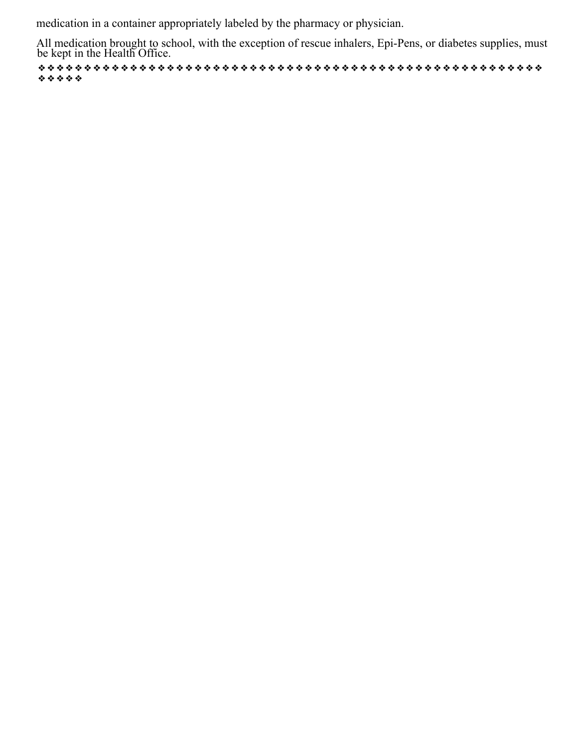medication in a container appropriately labeled by the pharmacy or physician.

All medication brought to school, with the exception of rescue inhalers, Epi-Pens, or diabetes supplies, must be kept in the Health Office.

❖❖❖❖❖❖❖❖❖❖❖❖❖❖❖❖❖❖❖❖❖❖❖❖❖❖❖❖❖❖❖❖❖❖❖❖❖❖❖❖❖❖❖❖❖❖❖❖❖❖❖❖❖❖❖ ❖❖❖❖❖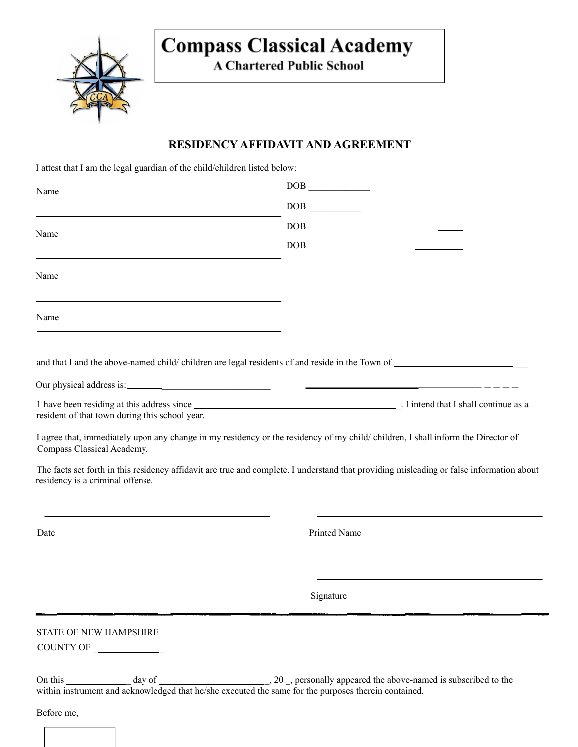

**A Chartered Public School** 

### **RESIDENCY AFFIDAVIT AND AGREEMENT**

I attest that I am the legal guardian of the child/children listed below:

| Name                                                                   | DOB                                                                                                                                      |
|------------------------------------------------------------------------|------------------------------------------------------------------------------------------------------------------------------------------|
|                                                                        | DOB                                                                                                                                      |
| Name                                                                   | <b>DOB</b>                                                                                                                               |
|                                                                        | <b>DOB</b>                                                                                                                               |
| Name                                                                   |                                                                                                                                          |
| Name                                                                   |                                                                                                                                          |
|                                                                        |                                                                                                                                          |
|                                                                        |                                                                                                                                          |
| resident of that town during this school year.                         |                                                                                                                                          |
| Compass Classical Academy.                                             | I agree that, immediately upon any change in my residency or the residency of my child/children, I shall inform the Director of          |
| residency is a criminal offense.                                       | The facts set forth in this residency affidavit are true and complete. I understand that providing misleading or false information about |
| Date                                                                   | Printed Name                                                                                                                             |
|                                                                        |                                                                                                                                          |
|                                                                        | Signature                                                                                                                                |
| STATE OF NEW HAMPSHIRE<br>COUNTY OF $\_\_\_\_\_\_\_\_\_\_\_\_\_\_\_\_$ |                                                                                                                                          |
|                                                                        |                                                                                                                                          |

within instrument and acknowledged that he/she executed the same for the purposes therein contained.

Before me,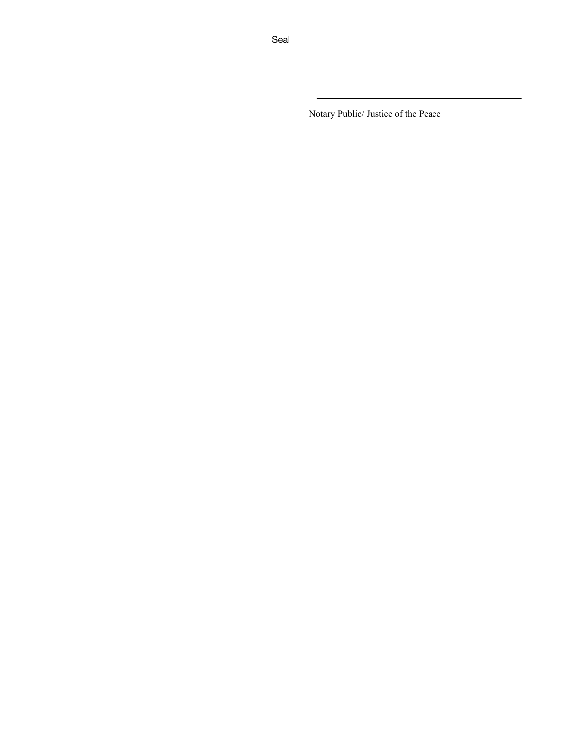Notary Public/ Justice of the Peace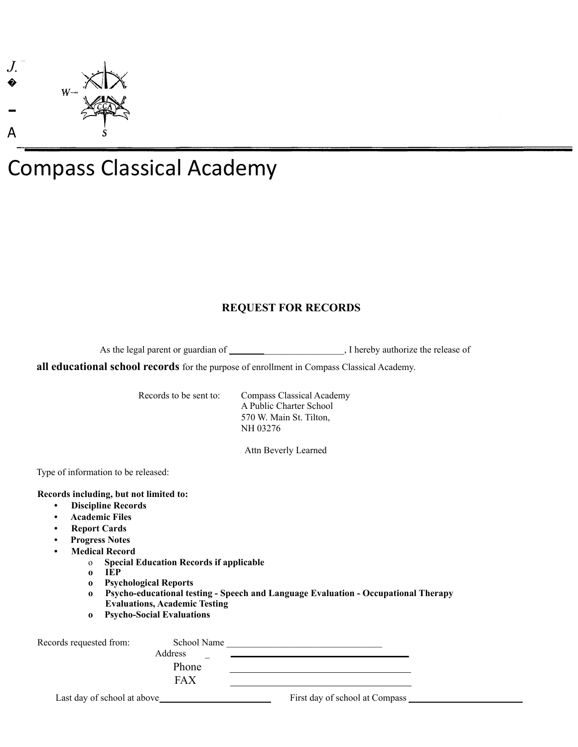

### **REQUEST FOR RECORDS**

As the legal parent or guardian of \_\_\_\_\_\_\_\_\_\_\_\_\_\_\_\_\_\_\_\_, I hereby authorize the release of

**all educational school records** for the purpose of enrollment in Compass Classical Academy.

Records to be sent to: Compass Classical Academy A Public Charter School 570 W. Main St. Tilton, NH 03276

Attn Beverly Learned

Type of information to be released:

#### **Records including, but not limited to:**

- **• Discipline Records**
- **• Academic Files**
- **• Report Cards**
- **• Progress Notes**
- **• Medical Record**
	- o **Special Education Records if applicable**
	- **o IEP**
	- **o Psychological Reports**
	- **o Psycho-educational testing - Speech and Language Evaluation - Occupational Therapy Evaluations, Academic Testing**
	- **o Psycho-Social Evaluations**

| Records requested from:     | School Name |                                |  |
|-----------------------------|-------------|--------------------------------|--|
|                             | Address     |                                |  |
|                             | Phone       |                                |  |
|                             | <b>FAX</b>  |                                |  |
| Last day of school at above |             | First day of school at Compass |  |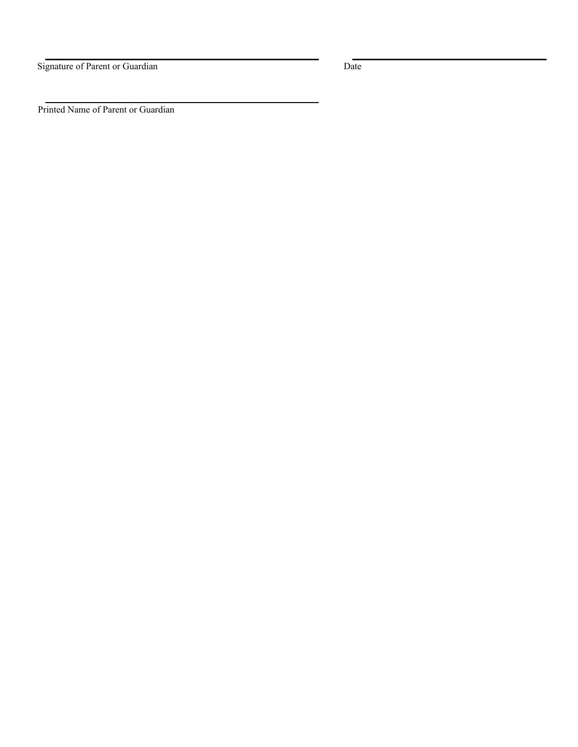Signature of Parent or Guardian Date

Printed Name of Parent or Guardian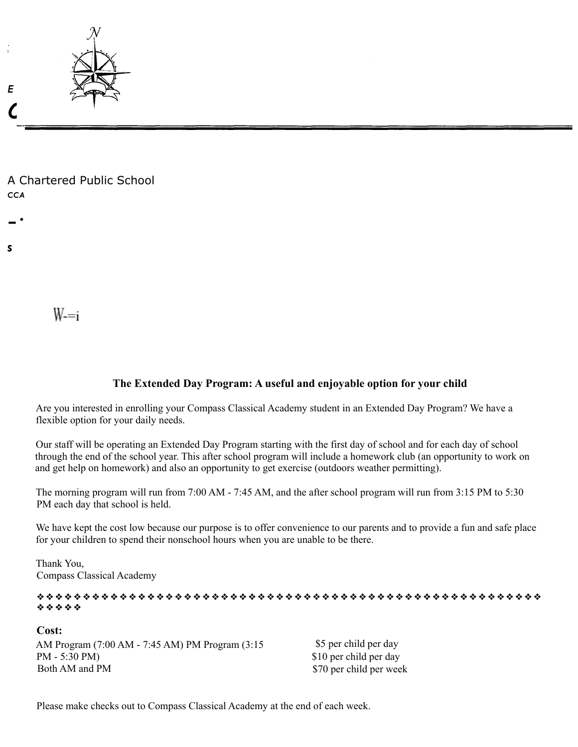

A Chartered Public School *CCA*

 $W = i$ 

-·

*s*

### **The Extended Day Program: A useful and enjoyable option for your child**

Are you interested in enrolling your Compass Classical Academy student in an Extended Day Program? We have a flexible option for your daily needs.

Our staff will be operating an Extended Day Program starting with the first day of school and for each day of school through the end of the school year. This after school program will include a homework club (an opportunity to work on and get help on homework) and also an opportunity to get exercise (outdoors weather permitting).

The morning program will run from 7:00 AM - 7:45 AM, and the after school program will run from 3:15 PM to 5:30 PM each day that school is held.

We have kept the cost low because our purpose is to offer convenience to our parents and to provide a fun and safe place for your children to spend their nonschool hours when you are unable to be there.

Thank You, Compass Classical Academy

❖❖❖❖❖❖❖❖❖❖❖❖❖❖❖❖❖❖❖❖❖❖❖❖❖❖❖❖❖❖❖❖❖❖❖❖❖❖❖❖❖❖❖❖❖❖❖❖❖❖❖❖❖❖❖ ❖❖❖❖❖

**Cost:** AM Program (7:00 AM - 7:45 AM) PM Program (3:15 PM - 5:30 PM) Both AM and PM

\$5 per child per day \$10 per child per day \$70 per child per week

Please make checks out to Compass Classical Academy at the end of each week.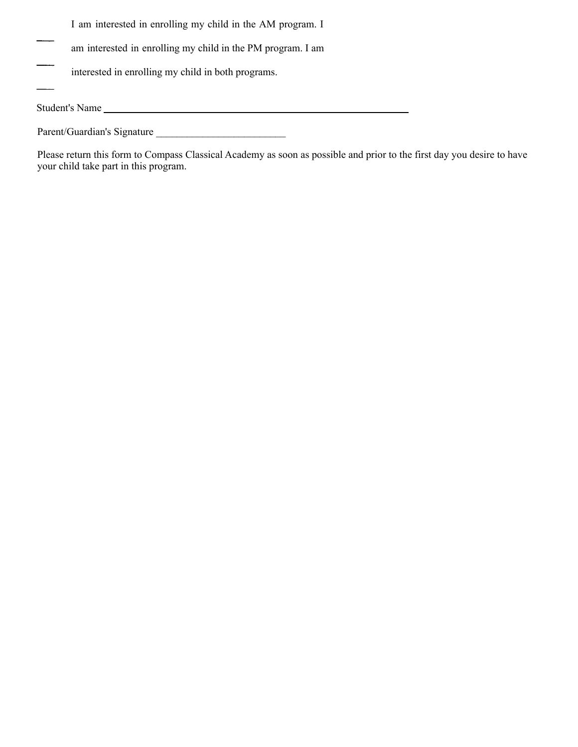- I am interested in enrolling my child in the AM program. I
- am interested in enrolling my child in the PM program. I am
- interested in enrolling my child in both programs.

Student's Name

Parent/Guardian's Signature \_\_\_\_\_\_\_\_\_\_\_\_\_\_\_\_\_\_\_\_\_\_\_\_\_

Please return this form to Compass Classical Academy as soon as possible and prior to the first day you desire to have your child take part in this program.